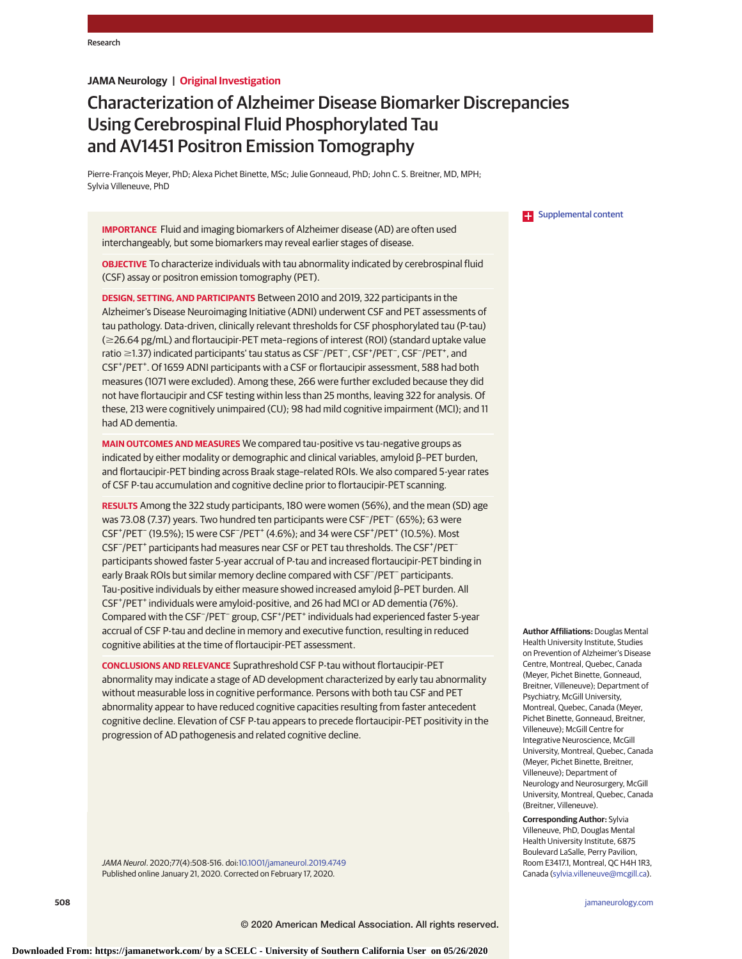## **JAMA Neurology | Original Investigation**

# Characterization of Alzheimer Disease Biomarker Discrepancies Using Cerebrospinal Fluid Phosphorylated Tau and AV1451 Positron Emission Tomography

Pierre-François Meyer, PhD; Alexa Pichet Binette, MSc; Julie Gonneaud, PhD; John C. S. Breitner, MD, MPH; Sylvia Villeneuve, PhD

**IMPORTANCE** Fluid and imaging biomarkers of Alzheimer disease (AD) are often used interchangeably, but some biomarkers may reveal earlier stages of disease.

**OBJECTIVE** To characterize individuals with tau abnormality indicated by cerebrospinal fluid (CSF) assay or positron emission tomography (PET).

**DESIGN, SETTING, AND PARTICIPANTS** Between 2010 and 2019, 322 participants in the Alzheimer's Disease Neuroimaging Initiative (ADNI) underwent CSF and PET assessments of tau pathology. Data-driven, clinically relevant thresholds for CSF phosphorylated tau (P-tau) (≥26.64 pg/mL) and flortaucipir-PET meta-regions of interest (ROI) (standard uptake value ratio ≥1.37) indicated participants' tau status as CSF<sup>-</sup>/PET<sup>-</sup>, CSF<sup>+</sup>/PET<sup>-</sup>, CSF<sup>-</sup>/PET<sup>+</sup>, and CSF<sup>+</sup>/PET<sup>+</sup>. Of 1659 ADNI participants with a CSF or flortaucipir assessment, 588 had both measures (1071 were excluded). Among these, 266 were further excluded because they did not have flortaucipir and CSF testing within less than 25 months, leaving 322 for analysis. Of these, 213 were cognitively unimpaired (CU); 98 had mild cognitive impairment (MCI); and 11 had AD dementia.

**MAIN OUTCOMES AND MEASURES** We compared tau-positive vs tau-negative groups as indicated by either modality or demographic and clinical variables, amyloid β–PET burden, and flortaucipir-PET binding across Braak stage–related ROIs. We also compared 5-year rates of CSF P-tau accumulation and cognitive decline prior to flortaucipir-PET scanning.

**RESULTS** Among the 322 study participants, 180 were women (56%), and the mean (SD) age was 73.08 (7.37) years. Two hundred ten participants were CSF− /PET<sup>−</sup> (65%); 63 were CSF<sup>+</sup>/PET<sup>-</sup> (19.5%); 15 were CSF<sup>-</sup>/PET<sup>+</sup> (4.6%); and 34 were CSF<sup>+</sup>/PET<sup>+</sup> (10.5%). Most CSF<sup>-</sup>/PET<sup>+</sup> participants had measures near CSF or PET tau thresholds. The CSF<sup>+</sup>/PET<sup>-</sup> participants showed faster 5-year accrual of P-tau and increased flortaucipir-PET binding in early Braak ROIs but similar memory decline compared with CSF<sup>-</sup>/PET<sup>-</sup> participants. Tau-positive individuals by either measure showed increased amyloid β–PET burden. All CSF<sup>+</sup>/PET<sup>+</sup> individuals were amyloid-positive, and 26 had MCI or AD dementia (76%). Compared with the CSF<sup>-</sup>/PET<sup>-</sup> group, CSF<sup>+</sup>/PET<sup>+</sup> individuals had experienced faster 5-year accrual of CSF P-tau and decline in memory and executive function, resulting in reduced cognitive abilities at the time of flortaucipir-PET assessment.

**CONCLUSIONS AND RELEVANCE** Suprathreshold CSF P-tau without flortaucipir-PET abnormality may indicate a stage of AD development characterized by early tau abnormality without measurable loss in cognitive performance. Persons with both tau CSF and PET abnormality appear to have reduced cognitive capacities resulting from faster antecedent cognitive decline. Elevation of CSF P-tau appears to precede flortaucipir-PET positivity in the progression of AD pathogenesis and related cognitive decline.

JAMA Neurol. 2020;77(4):508-516. doi[:10.1001/jamaneurol.2019.4749](https://jamanetwork.com/journals/jama/fullarticle/10.1001/jamaneurol.2019.4749?utm_campaign=articlePDF%26utm_medium=articlePDFlink%26utm_source=articlePDF%26utm_content=jamaneurol.2019.4749) Published online January 21, 2020. Corrected on February 17, 2020.

**Examplemental content** 

**Author Affiliations:** Douglas Mental Health University Institute, Studies on Prevention of Alzheimer's Disease Centre, Montreal, Quebec, Canada (Meyer, Pichet Binette, Gonneaud, Breitner, Villeneuve); Department of Psychiatry, McGill University, Montreal, Quebec, Canada (Meyer, Pichet Binette, Gonneaud, Breitner, Villeneuve); McGill Centre for Integrative Neuroscience, McGill University, Montreal, Quebec, Canada (Meyer, Pichet Binette, Breitner, Villeneuve); Department of Neurology and Neurosurgery, McGill University, Montreal, Quebec, Canada (Breitner, Villeneuve).

**Corresponding Author:** Sylvia Villeneuve, PhD, Douglas Mental Health University Institute, 6875 Boulevard LaSalle, Perry Pavilion, Room E3417.1, Montreal, QC H4H 1R3, Canada [\(sylvia.villeneuve@mcgill.ca\)](mailto:sylvia.villeneuve@mcgill.ca).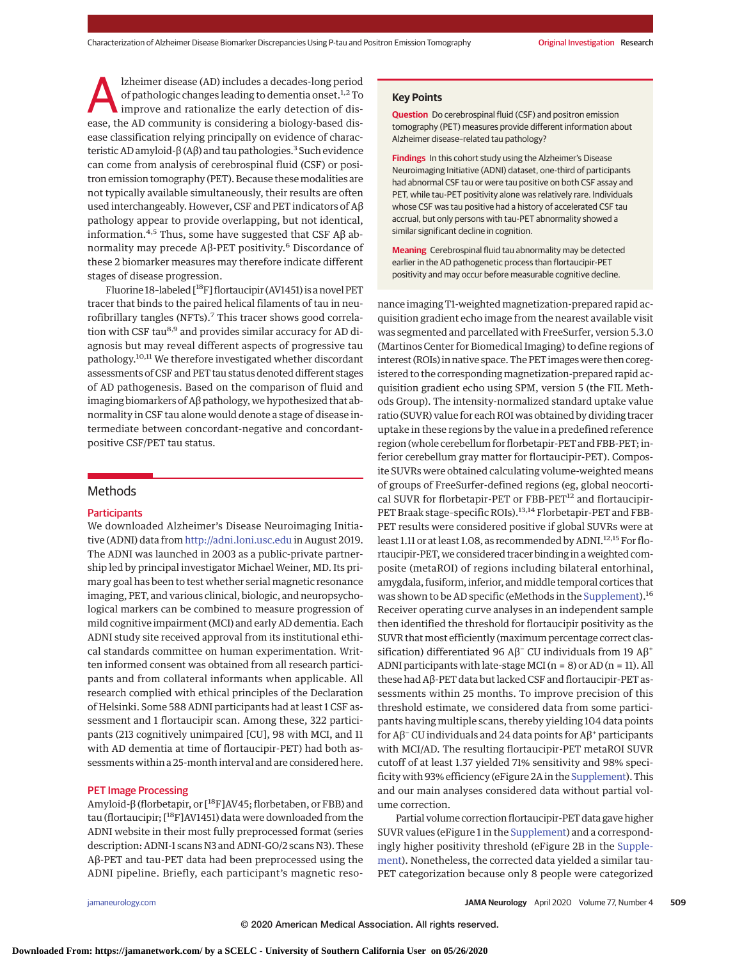lzheimer disease (AD) includes a decades-long period of pathologic changes leading to dementia onset.<sup>1,2</sup> To improve and rationalize the early detection of disease, the AD community is considering a biology-based disease classification relying principally on evidence of characteristic AD amyloid-β (Aβ) and tau pathologies.<sup>3</sup> Such evidence can come from analysis of cerebrospinal fluid (CSF) or positron emission tomography (PET). Because thesemodalities are not typically available simultaneously, their results are often used interchangeably. However, CSF and PET indicators of Aβ pathology appear to provide overlapping, but not identical, information.<sup>4,5</sup> Thus, some have suggested that CSF Aβ abnormality may precede Aβ-PET positivity.<sup>6</sup> Discordance of these 2 biomarker measures may therefore indicate different stages of disease progression.

Fluorine 18–labeled [18F] flortaucipir (AV1451) is a novel PET tracer that binds to the paired helical filaments of tau in neurofibrillary tangles (NFTs).<sup>7</sup> This tracer shows good correlation with CSF tau<sup>8,9</sup> and provides similar accuracy for AD diagnosis but may reveal different aspects of progressive tau pathology.10,11 We therefore investigated whether discordant assessments of CSF and PET tau status denoted different stages of AD pathogenesis. Based on the comparison of fluid and imaging biomarkers of Aβ pathology, we hypothesized that abnormality in CSF tau alone would denote a stage of disease intermediate between concordant-negative and concordantpositive CSF/PET tau status.

## Methods

## **Participants**

We downloaded Alzheimer's Disease Neuroimaging Initiative (ADNI) data from <http://adni.loni.usc.edu> in August 2019. The ADNI was launched in 2003 as a public-private partnership led by principal investigator Michael Weiner, MD. Its primary goal has been to test whether serial magnetic resonance imaging, PET, and various clinical, biologic, and neuropsychological markers can be combined to measure progression of mild cognitive impairment (MCI) and early AD dementia. Each ADNI study site received approval from its institutional ethical standards committee on human experimentation. Written informed consent was obtained from all research participants and from collateral informants when applicable. All research complied with ethical principles of the Declaration of Helsinki. Some 588 ADNI participants had at least 1 CSF assessment and 1 flortaucipir scan. Among these, 322 participants (213 cognitively unimpaired [CU], 98 with MCI, and 11 with AD dementia at time of flortaucipir-PET) had both assessments within a 25-month interval and are considered here.

#### PET Image Processing

Amyloid-β (florbetapir, or [18F]AV45; florbetaben, or FBB) and tau (flortaucipir; [18F]AV1451) data were downloaded from the ADNI website in their most fully preprocessed format (series description: ADNI-1 scans N3 and ADNI-GO/2 scans N3). These Aβ-PET and tau-PET data had been preprocessed using the ADNI pipeline. Briefly, each participant's magnetic reso**Key Points**

**Question** Do cerebrospinal fluid (CSF) and positron emission tomography (PET) measures provide different information about Alzheimer disease–related tau pathology?

**Findings** In this cohort study using the Alzheimer's Disease Neuroimaging Initiative (ADNI) dataset, one-third of participants had abnormal CSF tau or were tau positive on both CSF assay and PET, while tau-PET positivity alone was relatively rare. Individuals whose CSF was tau positive had a history of accelerated CSF tau accrual, but only persons with tau-PET abnormality showed a similar significant decline in cognition.

**Meaning** Cerebrospinal fluid tau abnormality may be detected earlier in the AD pathogenetic process than flortaucipir-PET positivity and may occur before measurable cognitive decline.

nance imaging T1-weighted magnetization-prepared rapid acquisition gradient echo image from the nearest available visit was segmented and parcellated with FreeSurfer, version 5.3.0 (Martinos Center for Biomedical Imaging) to define regions of interest (ROIs) in native space. The PET images were then coregistered to the corresponding magnetization-prepared rapid acquisition gradient echo using SPM, version 5 (the FIL Methods Group). The intensity-normalized standard uptake value ratio (SUVR) value for each ROI was obtained by dividing tracer uptake in these regions by the value in a predefined reference region (whole cerebellum for florbetapir-PET and FBB-PET; inferior cerebellum gray matter for flortaucipir-PET). Composite SUVRs were obtained calculating volume-weighted means of groups of FreeSurfer-defined regions (eg, global neocortical SUVR for florbetapir-PET or FBB-PET<sup>12</sup> and flortaucipir-PET Braak stage-specific ROIs).<sup>13,14</sup> Florbetapir-PET and FBB-PET results were considered positive if global SUVRs were at least 1.11 or at least 1.08, as recommended by ADNI.<sup>12,15</sup> For flortaucipir-PET, we considered tracer binding in a weighted composite (metaROI) of regions including bilateral entorhinal, amygdala, fusiform, inferior, andmiddle temporal cortices that was shown to be AD specific (eMethods in the [Supplement\)](https://jamanetwork.com/journals/jama/fullarticle/10.1001/jamaneurol.2019.4749?utm_campaign=articlePDF%26utm_medium=articlePDFlink%26utm_source=articlePDF%26utm_content=jamaneurol.2019.4749).<sup>16</sup> Receiver operating curve analyses in an independent sample then identified the threshold for flortaucipir positivity as the SUVR that most efficiently (maximum percentage correct classification) differentiated 96 Aβ<sup>-</sup> CU individuals from 19 Aβ<sup>+</sup> ADNI participants with late-stage MCI ( $n = 8$ ) or AD ( $n = 11$ ). All these had Aβ-PET data but lacked CSF and flortaucipir-PET assessments within 25 months. To improve precision of this threshold estimate, we considered data from some participants having multiple scans, thereby yielding 104 data points for Aβ−CU individuals and 24 data points for Aβ+ participants with MCI/AD. The resulting flortaucipir-PET metaROI SUVR cutoff of at least 1.37 yielded 71% sensitivity and 98% specificity with 93% efficiency (eFigure 2A in the [Supplement\)](https://jamanetwork.com/journals/jama/fullarticle/10.1001/jamaneurol.2019.4749?utm_campaign=articlePDF%26utm_medium=articlePDFlink%26utm_source=articlePDF%26utm_content=jamaneurol.2019.4749). This and our main analyses considered data without partial volume correction.

Partial volume correction flortaucipir-PET data gave higher SUVR values (eFigure 1 in the [Supplement\)](https://jamanetwork.com/journals/jama/fullarticle/10.1001/jamaneurol.2019.4749?utm_campaign=articlePDF%26utm_medium=articlePDFlink%26utm_source=articlePDF%26utm_content=jamaneurol.2019.4749) and a correspondingly higher positivity threshold (eFigure 2B in the [Supple](https://jamanetwork.com/journals/jama/fullarticle/10.1001/jamaneurol.2019.4749?utm_campaign=articlePDF%26utm_medium=articlePDFlink%26utm_source=articlePDF%26utm_content=jamaneurol.2019.4749)[ment\)](https://jamanetwork.com/journals/jama/fullarticle/10.1001/jamaneurol.2019.4749?utm_campaign=articlePDF%26utm_medium=articlePDFlink%26utm_source=articlePDF%26utm_content=jamaneurol.2019.4749). Nonetheless, the corrected data yielded a similar tau*-*PET categorization because only 8 people were categorized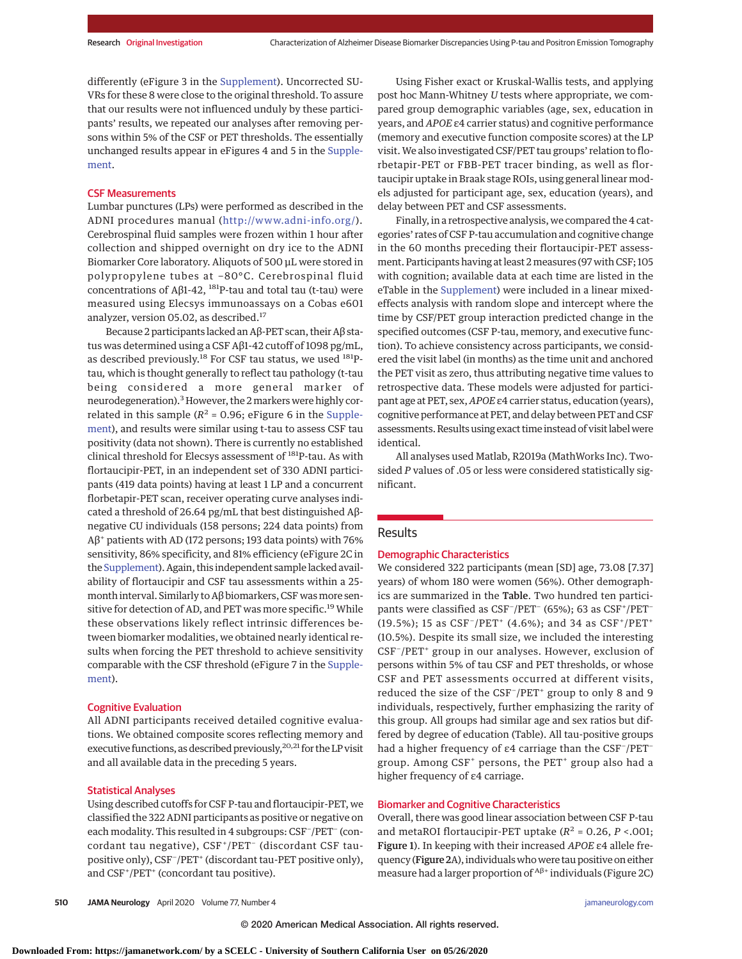differently (eFigure 3 in the [Supplement\)](https://jamanetwork.com/journals/jama/fullarticle/10.1001/jamaneurol.2019.4749?utm_campaign=articlePDF%26utm_medium=articlePDFlink%26utm_source=articlePDF%26utm_content=jamaneurol.2019.4749). Uncorrected SU-VRs for these 8 were close to the original threshold. To assure that our results were not influenced unduly by these participants' results, we repeated our analyses after removing persons within 5% of the CSF or PET thresholds. The essentially unchanged results appear in eFigures 4 and 5 in the [Supple](https://jamanetwork.com/journals/jama/fullarticle/10.1001/jamaneurol.2019.4749?utm_campaign=articlePDF%26utm_medium=articlePDFlink%26utm_source=articlePDF%26utm_content=jamaneurol.2019.4749)[ment.](https://jamanetwork.com/journals/jama/fullarticle/10.1001/jamaneurol.2019.4749?utm_campaign=articlePDF%26utm_medium=articlePDFlink%26utm_source=articlePDF%26utm_content=jamaneurol.2019.4749)

#### CSF Measurements

Lumbar punctures (LPs) were performed as described in the ADNI procedures manual [\(http://www.adni-info.org/\)](http://www.adni-info.org/). Cerebrospinal fluid samples were frozen within 1 hour after collection and shipped overnight on dry ice to the ADNI Biomarker Core laboratory. Aliquots of 500 μL were stored in polypropylene tubes at −80°C. Cerebrospinal fluid concentrations of A $β1-42$ , <sup>181</sup>P-tau and total tau (t-tau) were measured using Elecsys immunoassays on a Cobas e601 analyzer, version 05.02, as described.<sup>17</sup>

Because 2 participants lacked an Aβ-PET scan, their Aβ status was determined using a CSF Aβ1-42 cutoff of 1098 pg/mL, as described previously.<sup>18</sup> For CSF tau status, we used 181Ptau*,* which is thought generally to reflect tau pathology (t-tau being considered a more general marker of neurodegeneration).<sup>3</sup> However, the 2 markers were highly correlated in this sample ( $R^2$  = 0.96; eFigure 6 in the [Supple](https://jamanetwork.com/journals/jama/fullarticle/10.1001/jamaneurol.2019.4749?utm_campaign=articlePDF%26utm_medium=articlePDFlink%26utm_source=articlePDF%26utm_content=jamaneurol.2019.4749)[ment\)](https://jamanetwork.com/journals/jama/fullarticle/10.1001/jamaneurol.2019.4749?utm_campaign=articlePDF%26utm_medium=articlePDFlink%26utm_source=articlePDF%26utm_content=jamaneurol.2019.4749), and results were similar using t-tau to assess CSF tau positivity (data not shown). There is currently no established clinical threshold for Elecsys assessment of <sup>181</sup>P-tau. As with flortaucipir-PET, in an independent set of 330 ADNI participants (419 data points) having at least 1 LP and a concurrent florbetapir-PET scan, receiver operating curve analyses indicated a threshold of 26.64 pg/mL that best distinguished Aβnegative CU individuals (158 persons; 224 data points) from Aβ<sup>+</sup> patients with AD (172 persons; 193 data points) with 76% sensitivity, 86% specificity, and 81% efficiency (eFigure 2C in the [Supplement\)](https://jamanetwork.com/journals/jama/fullarticle/10.1001/jamaneurol.2019.4749?utm_campaign=articlePDF%26utm_medium=articlePDFlink%26utm_source=articlePDF%26utm_content=jamaneurol.2019.4749). Again, this independent sample lacked availability of flortaucipir and CSF tau assessments within a 25 month interval. Similarly to A $\beta$  biomarkers, CSF was more sensitive for detection of AD, and PET was more specific.<sup>19</sup> While these observations likely reflect intrinsic differences between biomarker modalities, we obtained nearly identical results when forcing the PET threshold to achieve sensitivity comparable with the CSF threshold (eFigure 7 in the [Supple](https://jamanetwork.com/journals/jama/fullarticle/10.1001/jamaneurol.2019.4749?utm_campaign=articlePDF%26utm_medium=articlePDFlink%26utm_source=articlePDF%26utm_content=jamaneurol.2019.4749)[ment\)](https://jamanetwork.com/journals/jama/fullarticle/10.1001/jamaneurol.2019.4749?utm_campaign=articlePDF%26utm_medium=articlePDFlink%26utm_source=articlePDF%26utm_content=jamaneurol.2019.4749).

#### Cognitive Evaluation

All ADNI participants received detailed cognitive evaluations. We obtained composite scores reflecting memory and executive functions, as described previously, <sup>20,21</sup> for the LP visit and all available data in the preceding 5 years.

#### Statistical Analyses

Using described cutoffs for CSF P-tau and flortaucipir-PET, we classified the 322 ADNI participants as positive or negative on each modality. This resulted in 4 subgroups: CSF<sup>-</sup>/PET<sup>-</sup> (concordant tau negative), CSF+/PET− (discordant CSF taupositive only), CSF<sup>-</sup>/PET<sup>+</sup> (discordant tau-PET positive only), and CSF<sup>+</sup>/PET<sup>+</sup> (concordant tau positive).

Using Fisher exact or Kruskal-Wallis tests, and applying post hoc Mann-Whitney *U* tests where appropriate, we compared group demographic variables (age, sex, education in years, and *APOE* ε4 carrier status) and cognitive performance (memory and executive function composite scores) at the LP visit. We also investigated CSF/PET tau groups' relation to florbetapir-PET or FBB-PET tracer binding, as well as flortaucipir uptake in Braak stage ROIs, using general linear models adjusted for participant age, sex, education (years), and delay between PET and CSF assessments.

Finally, in a retrospective analysis, we compared the 4 categories' rates of CSF P-tau accumulation and cognitive change in the 60 months preceding their flortaucipir-PET assessment. Participants having at least 2measures (97 with CSF; 105 with cognition; available data at each time are listed in the eTable in the [Supplement\)](https://jamanetwork.com/journals/jama/fullarticle/10.1001/jamaneurol.2019.4749?utm_campaign=articlePDF%26utm_medium=articlePDFlink%26utm_source=articlePDF%26utm_content=jamaneurol.2019.4749) were included in a linear mixedeffects analysis with random slope and intercept where the time by CSF/PET group interaction predicted change in the specified outcomes (CSF P-tau, memory, and executive function). To achieve consistency across participants, we considered the visit label (in months) as the time unit and anchored the PET visit as zero, thus attributing negative time values to retrospective data. These models were adjusted for participant age at PET, sex, *APOE* ε4 carrier status, education (years), cognitive performance at PET, and delay between PET and CSF assessments. Results using exact time instead of visit labelwere identical.

All analyses used Matlab, R2019a (MathWorks Inc). Twosided *P* values of .05 or less were considered statistically significant.

## Results

#### Demographic Characteristics

We considered 322 participants (mean [SD] age, 73.08 [7.37] years) of whom 180 were women (56%). Other demographics are summarized in the Table. Two hundred ten participants were classified as CSF<sup>-</sup>/PET<sup>-</sup> (65%); 63 as CSF<sup>+</sup>/PET<sup>-</sup> (19.5%); 15 as CSF<sup>-</sup>/PET<sup>+</sup> (4.6%); and 34 as CSF<sup>+</sup>/PET<sup>+</sup> (10.5%). Despite its small size, we included the interesting CSF−/PET+ group in our analyses. However, exclusion of persons within 5% of tau CSF and PET thresholds, or whose CSF and PET assessments occurred at different visits, reduced the size of the CSF<sup>-</sup>/PET<sup>+</sup> group to only 8 and 9 individuals, respectively, further emphasizing the rarity of this group. All groups had similar age and sex ratios but differed by degree of education (Table). All tau-positive groups had a higher frequency of ε4 carriage than the CSF<sup>-</sup>/PET<sup>-</sup> group. Among  $CSF<sup>+</sup>$  persons, the PET<sup>+</sup> group also had a higher frequency of ε4 carriage.

#### Biomarker and Cognitive Characteristics

Overall, there was good linear association between CSF P-tau and metaROI flortaucipir-PET uptake  $(R^2 = 0.26, P < .001;$ Figure 1). In keeping with their increased *APOE* ε4 allele frequency (Figure 2A), individuals who were tau positive on either measure had a larger proportion of <sup>Aβ+</sup> individuals (Figure 2C)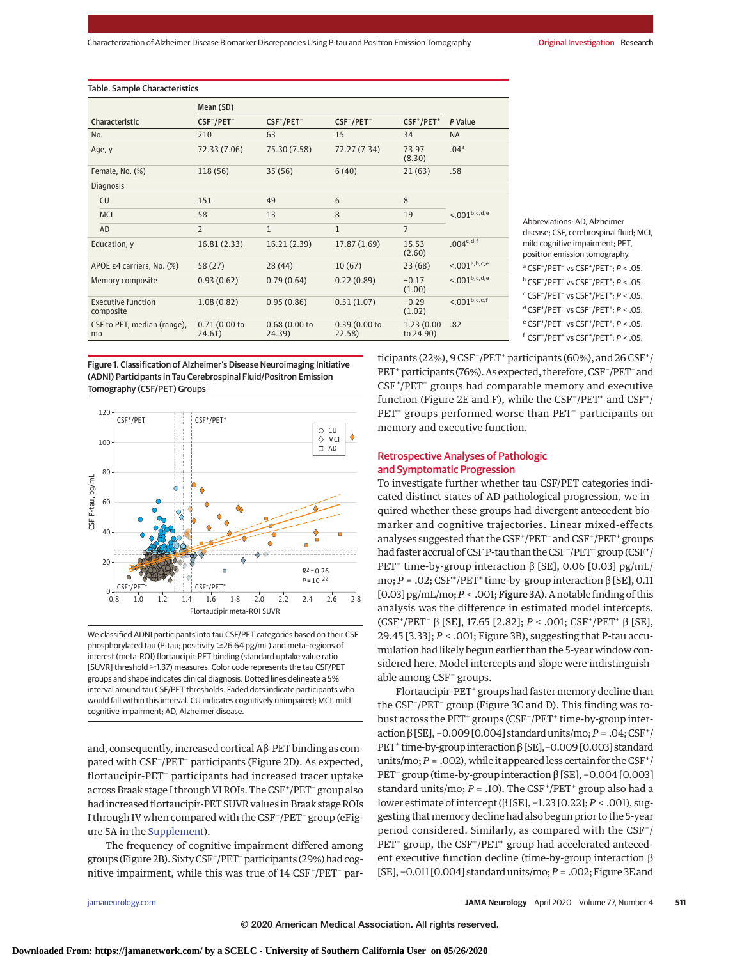| Table. Sample Characteristics          |                        |                                    |                                    |                                    |                          |
|----------------------------------------|------------------------|------------------------------------|------------------------------------|------------------------------------|--------------------------|
|                                        | Mean (SD)              |                                    |                                    |                                    |                          |
| Characteristic                         | $CSF^-/PET^-$          | CSF <sup>+</sup> /PET <sup>-</sup> | CSF <sup>-</sup> /PET <sup>+</sup> | CSF <sup>+</sup> /PET <sup>+</sup> | P Value                  |
| No.                                    | 210                    | 63                                 | 15                                 | 34                                 | <b>NA</b>                |
| Age, y                                 | 72.33 (7.06)           | 75.30 (7.58)                       | 72.27 (7.34)                       | 73.97<br>(8.30)                    | .04 <sup>a</sup>         |
| Female, No. (%)                        | 118 (56)               | 35(56)                             | 6(40)                              | 21(63)                             | .58                      |
| <b>Diagnosis</b>                       |                        |                                    |                                    |                                    |                          |
| <b>CU</b>                              | 151                    | 49                                 | 6                                  | 8                                  | <.001 <sup>b,c,d,e</sup> |
| <b>MCI</b>                             | 58                     | 13                                 | 8                                  | 19                                 |                          |
| AD                                     | $\overline{2}$         | $\mathbf{1}$                       | $\mathbf{1}$                       | $\overline{7}$                     |                          |
| Education, y                           | 16.81 (2.33)           | 16.21 (2.39)                       | 17.87 (1.69)                       | 15.53<br>(2.60)                    | .004 <sup>c,d,f</sup>    |
| APOE ε4 carriers, No. (%)              | 58 (27)                | 28 (44)                            | 10(67)                             | 23(68)                             | < 0.01a,b,c,e            |
| Memory composite                       | 0.93(0.62)             | 0.79(0.64)                         | 0.22(0.89)                         | $-0.17$<br>(1.00)                  | <.001 <sup>b,c,d,e</sup> |
| <b>Executive function</b><br>composite | 1.08(0.82)             | 0.95(0.86)                         | 0.51(1.07)                         | $-0.29$<br>(1.02)                  | $< 0.01^{\rm b,c,e,f}$   |
| CSF to PET, median (range),<br>mo      | 0.71(0.00 to<br>24.61) | 0.68(0.00 to<br>24.39)             | 0.39(0.00 to<br>22.58)             | 1.23(0.00)<br>to 24.90)            | .82                      |

Figure 1. Classification of Alzheimer's Disease Neuroimaging Initiative (ADNI) Participants in Tau Cerebrospinal Fluid/Positron Emission Tomography (CSF/PET) Groups



We classified ADNI participants into tau CSF/PET categories based on their CSF phosphorylated tau (P-tau; positivity ≥26.64 pg/mL) and meta-regions of interest (meta-ROI) flortaucipir-PET binding (standard uptake value ratio [SUVR] threshold  $\geq$ 1.37) measures. Color code represents the tau CSF/PET groups and shape indicates clinical diagnosis. Dotted lines delineate a 5% interval around tau CSF/PET thresholds. Faded dots indicate participants who would fall within this interval. CU indicates cognitively unimpaired; MCI, mild cognitive impairment; AD, Alzheimer disease.

and, consequently, increased cortical Aβ-PET binding as compared with CSF<sup>−</sup> /PET<sup>−</sup> participants (Figure 2D). As expected, flortaucipir-PET<sup>+</sup> participants had increased tracer uptake across Braak stage I through VI ROIs. The CSF<sup>+</sup>/PET<sup>-</sup> group also had increased flortaucipir-PET SUVR values in Braak stage ROIs I through IV when compared with the CSF− /PET− group (eFigure 5A in the [Supplement\)](https://jamanetwork.com/journals/jama/fullarticle/10.1001/jamaneurol.2019.4749?utm_campaign=articlePDF%26utm_medium=articlePDFlink%26utm_source=articlePDF%26utm_content=jamaneurol.2019.4749).

The frequency of cognitive impairment differed among groups (Figure 2B). Sixty CSF− /PET−participants (29%) had cognitive impairment, while this was true of 14 CSF+/PET<sup>-</sup> parAbbreviations: AD, Alzheimer disease; CSF, cerebrospinal fluid; MCI, mild cognitive impairment; PET, positron emission tomography.

```
<sup>a</sup> CSF<sup>-</sup>/PET<sup>-</sup> vs CSF<sup>+</sup>/PET<sup>-</sup>; P < .05.
<sup>b</sup> CSF<sup>-</sup>/PET<sup>-</sup> vs CSF<sup>-</sup>/PET<sup>+</sup>; P < .05.
```
<sup>c</sup> CSF<sup>-</sup>/PET<sup>-</sup> vs CSF<sup>+</sup>/PET<sup>+</sup>; P < .05. <sup>d</sup> CSF<sup>+</sup>/PET<sup>-</sup> vs CSF<sup>-</sup>/PET<sup>+</sup>; P < .05.

e CSF<sup>+</sup>/PET<sup>-</sup> vs CSF<sup>+</sup>/PET<sup>+</sup>; P < .05.

f CSF<sup>-</sup>/PET<sup>+</sup> vs CSF<sup>+</sup>/PET<sup>+</sup>; P < .05.

ticipants (22%), 9 CSF<sup>-</sup>/PET<sup>+</sup> participants (60%), and 26 CSF<sup>+</sup>/ PET<sup>+</sup> participants (76%). As expected, therefore, CSF<sup>-</sup>/PET<sup>-</sup> and CSF<sup>+</sup>/PET<sup>-</sup> groups had comparable memory and executive function (Figure 2E and F), while the CSF<sup>-</sup>/PET<sup>+</sup> and CSF<sup>+</sup>/ PET<sup>+</sup> groups performed worse than PET<sup>-</sup> participants on memory and executive function.

## Retrospective Analyses of Pathologic and Symptomatic Progression

To investigate further whether tau CSF/PET categories indicated distinct states of AD pathological progression, we inquired whether these groups had divergent antecedent biomarker and cognitive trajectories. Linear mixed-effects analyses suggested that the CSF<sup>+</sup>/PET<sup>-</sup> and CSF<sup>+</sup>/PET<sup>+</sup> groups had faster accrual of CSF P-tau than the CSF<sup>-</sup>/PET<sup>-</sup> group (CSF<sup>+</sup>/ PET<sup>−</sup> time-by-group interaction β [SE], 0.06 [0.03] pg/mL/ mo; *P* = .02; CSF<sup>+</sup> /PET<sup>+</sup> time-by-group interaction β [SE], 0.11 [0.03]  $pg/mL/mo; P < .001;$  **Figure 3**A). A notable finding of this analysis was the difference in estimated model intercepts, (CSF<sup>+</sup> /PET<sup>−</sup> β [SE], 17.65 [2.82]; *P* < .001; CSF<sup>+</sup> /PET<sup>+</sup> β [SE], 29.45 [3.33]; *P* < .001; Figure 3B), suggesting that P-tau accumulation had likely begun earlier than the 5-year window considered here. Model intercepts and slope were indistinguishable among CSF<sup>−</sup> groups.

Flortaucipir-PET<sup>+</sup> groups had faster memory decline than the CSF<sup>−</sup> /PET<sup>−</sup> group (Figure 3C and D). This finding was robust across the PET<sup>+</sup> groups (CSF<sup>-</sup>/PET<sup>+</sup> time-by-group interaction β[SE], -0.009 [0.004] standard units/mo; P = .04; CSF<sup>+</sup>/ PET<sup>+</sup> time-by-group interaction β [SE], -0.009 [0.003] standard units/mo;  $P = .002$ ), while it appeared less certain for the CSF<sup>+</sup>/ PET<sup>-</sup> group (time-by-group interaction β [SE], -0.004 [0.003] standard units/mo;  $P = .10$ ). The  $CSF<sup>+</sup>/PET<sup>+</sup>$  group also had a lower estimate of intercept (β [SE], −1.23 [0.22]; *P* < .001), suggesting that memory decline had also begun prior to the 5-year period considered. Similarly, as compared with the CSF<sup>-</sup>/ PET<sup>-</sup> group, the CSF<sup>+</sup>/PET<sup>+</sup> group had accelerated antecedent executive function decline (time-by-group interaction β [SE], −0.011 [0.004] standard units/mo;*P* = .002; Figure 3E and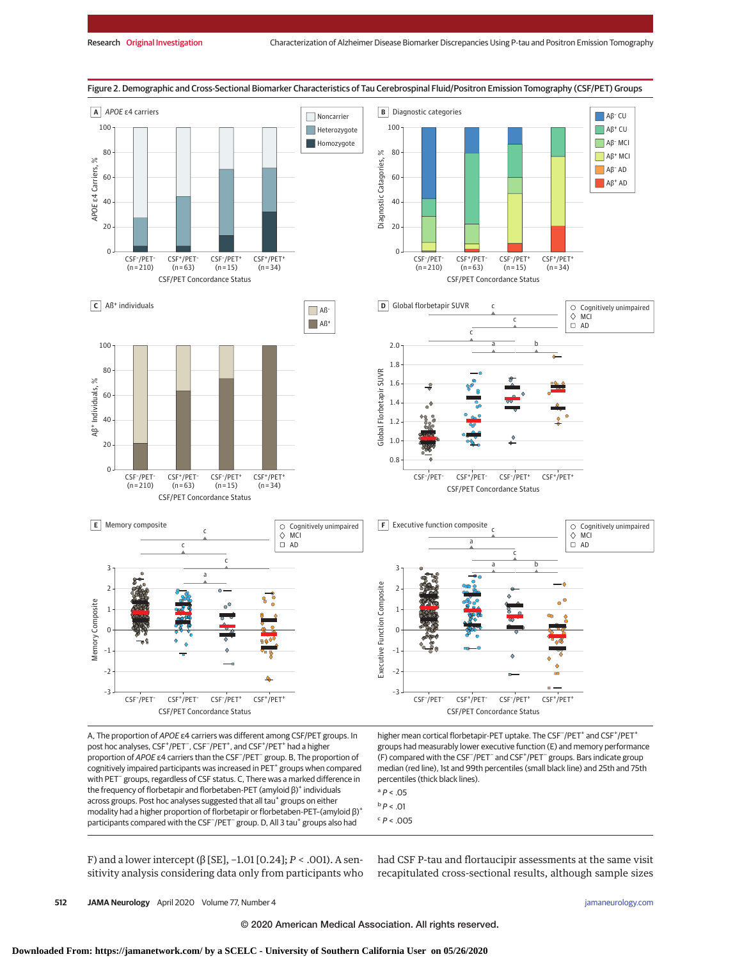

A, The proportion of APOE ε4 carriers was different among CSF/PET groups. In post hoc analyses, CSF<sup>+</sup>/PET<sup>-</sup>, CSF<sup>-</sup>/PET<sup>+</sup>, and CSF<sup>+</sup>/PET<sup>+</sup> had a higher proportion of APOE ε4 carriers than the CSF− /PET− group. B, The proportion of cognitively impaired participants was increased in PET<sup>+</sup> groups when compared with PET<sup>−</sup> groups, regardless of CSF status. C, There was a marked difference in the frequency of florbetapir and florbetaben-PET (amyloid β)<sup>+</sup> individuals across groups. Post hoc analyses suggested that all tau<sup>+</sup> groups on either modality had a higher proportion of florbetapir or florbetaben-PET–(amyloid β)+ participants compared with the CSF<sup>-</sup>/PET<sup>-</sup> group. D, All 3 tau<sup>+</sup> groups also had

higher mean cortical florbetapir-PET uptake. The CSF<sup>-</sup>/PET<sup>+</sup> and CSF<sup>+</sup>/PET<sup>+</sup> groups had measurably lower executive function (E) and memory performance (F) compared with the CSF<sup>-</sup>/PET<sup>-</sup> and CSF<sup>+</sup>/PET<sup>-</sup> groups. Bars indicate group median (red line), 1st and 99th percentiles (small black line) and 25th and 75th percentiles (thick black lines).

- $a$   $P < .05$  $b$  P < .01
- $c$   $P < .005$

F) and a lower intercept (β [SE], −1.01 [0.24]; *P* < .001). A sensitivity analysis considering data only from participants who

had CSF P-tau and flortaucipir assessments at the same visit recapitulated cross-sectional results, although sample sizes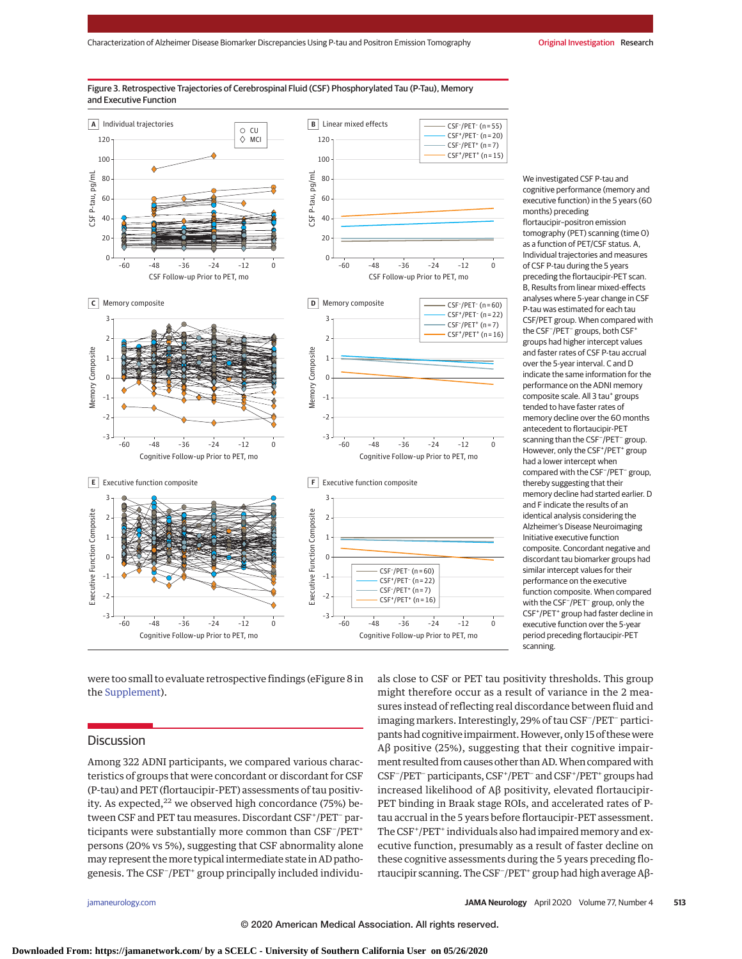#### Figure 3. Retrospective Trajectories of Cerebrospinal Fluid (CSF) Phosphorylated Tau (P-Tau), Memory and Executive Function



were too small to evaluate retrospective findings (eFigure 8 in the [Supplement\)](https://jamanetwork.com/journals/jama/fullarticle/10.1001/jamaneurol.2019.4749?utm_campaign=articlePDF%26utm_medium=articlePDFlink%26utm_source=articlePDF%26utm_content=jamaneurol.2019.4749).

## **Discussion**

Among 322 ADNI participants, we compared various characteristics of groups that were concordant or discordant for CSF (P-tau) and PET (flortaucipir-PET) assessments of tau positivity. As expected, $22$  we observed high concordance (75%) between CSF and PET tau measures. Discordant CSF<sup>+</sup>/PET<sup>-</sup> participants were substantially more common than CSF<sup>-</sup>/PET<sup>+</sup> persons (20% vs 5%), suggesting that CSF abnormality alone may represent themore typical intermediate state in AD pathogenesis. The CSF<sup>-</sup>/PET<sup>+</sup> group principally included individu-

We investigated CSF P-tau and cognitive performance (memory and executive function) in the 5 years (60 months) preceding flortaucipir–positron emission tomography (PET) scanning (time 0) as a function of PET/CSF status. A. Individual trajectories and measures of CSF P-tau during the 5 years preceding the flortaucipir-PET scan. B, Results from linear mixed-effects analyses where 5-year change in CSF P-tau was estimated for each tau CSF/PET group. When compared with the CSF<sup>-</sup>/PET<sup>-</sup> groups, both CSF<sup>+</sup> groups had higher intercept values and faster rates of CSF P-tau accrual over the 5-year interval. C and D indicate the same information for the performance on the ADNI memory composite scale. All 3 tau<sup>+</sup> groups tended to have faster rates of memory decline over the 60 months antecedent to flortaucipir-PET scanning than the CSF− /PET− group. However, only the CSF<sup>+</sup>/PET<sup>+</sup> group had a lower intercept when compared with the CSF− /PET− group, thereby suggesting that their memory decline had started earlier. D and F indicate the results of an identical analysis considering the Alzheimer's Disease Neuroimaging Initiative executive function composite. Concordant negative and discordant tau biomarker groups had similar intercept values for their performance on the executive function composite. When compared with the CSF<sup>−</sup> /PET− group, only the CSF<sup>+</sup> /PET+ group had faster decline in executive function over the 5-year period preceding flortaucipir-PET scanning.

als close to CSF or PET tau positivity thresholds. This group might therefore occur as a result of variance in the 2 measures instead of reflecting real discordance between fluid and imaging markers. Interestingly, 29% of tau CSF− /PET− participants had cognitive impairment. However, only 15 of these were Aβ positive (25%), suggesting that their cognitive impairment resulted from causes other than AD. When compared with CSF<sup>-</sup>/PET<sup>-</sup>participants, CSF<sup>+</sup>/PET<sup>-</sup> and CSF<sup>+</sup>/PET<sup>+</sup> groups had increased likelihood of Aβ positivity, elevated flortaucipir-PET binding in Braak stage ROIs, and accelerated rates of Ptau accrual in the 5 years before flortaucipir-PET assessment. The CSF<sup>+</sup>/PET<sup>+</sup> individuals also had impaired memory and executive function, presumably as a result of faster decline on these cognitive assessments during the 5 years preceding flortaucipir scanning. The CSF− /PET+ group had high average Aβ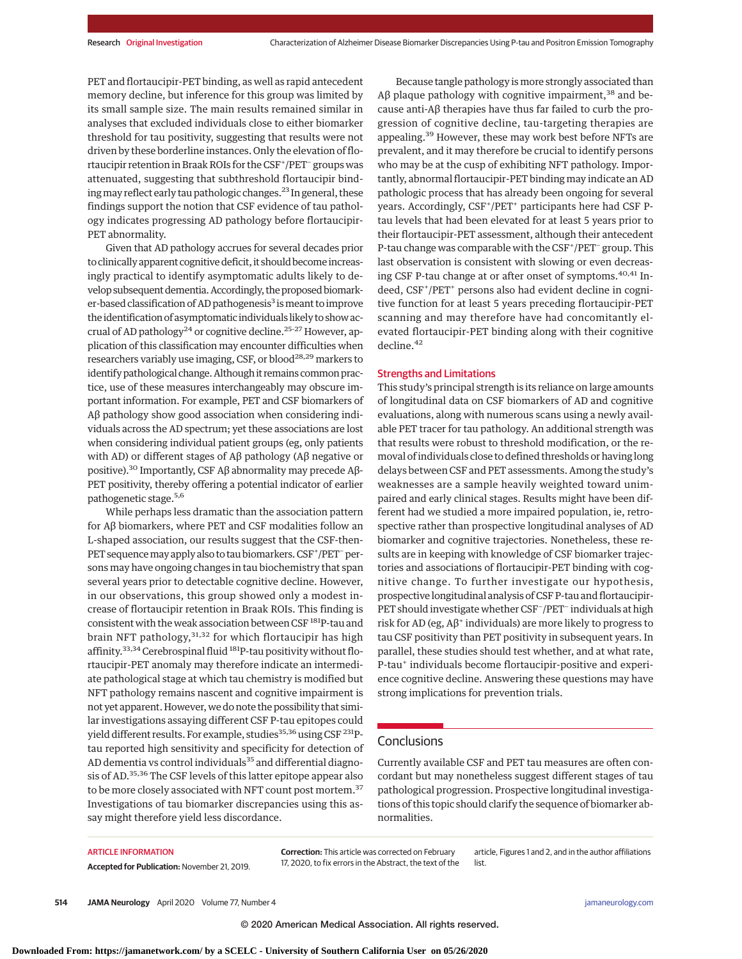PET and flortaucipir-PET binding, as well as rapid antecedent memory decline, but inference for this group was limited by its small sample size. The main results remained similar in analyses that excluded individuals close to either biomarker threshold for tau positivity, suggesting that results were not driven by these borderline instances. Only the elevation of flortaucipir retention in Braak ROIs for the CSF+ /PET− groups was attenuated, suggesting that subthreshold flortaucipir binding may reflect early tau pathologic changes.<sup>23</sup> In general, these findings support the notion that CSF evidence of tau pathology indicates progressing AD pathology before flortaucipir-PET abnormality.

Given that AD pathology accrues for several decades prior to clinically apparent cognitive deficit, it should become increasingly practical to identify asymptomatic adults likely to develop subsequent dementia. Accordingly, the proposed biomarker-based classification of AD pathogenesis<sup>3</sup> is meant to improve the identification of asymptomatic individuals likely to show accrual of AD pathology<sup>24</sup> or cognitive decline.<sup>25-27</sup> However, application of this classification may encounter difficulties when researchers variably use imaging, CSF, or blood<sup>28,29</sup> markers to identify pathological change. Although it remains common practice, use of these measures interchangeably may obscure important information. For example, PET and CSF biomarkers of Aβ pathology show good association when considering individuals across the AD spectrum; yet these associations are lost when considering individual patient groups (eg, only patients with AD) or different stages of Aβ pathology (Aβ negative or positive).30 Importantly, CSF Aβ abnormality may precede Aβ-PET positivity, thereby offering a potential indicator of earlier pathogenetic stage.5,6

While perhaps less dramatic than the association pattern for Aβ biomarkers, where PET and CSF modalities follow an L-shaped association, our results suggest that the CSF-then-PET sequence may apply also to tau biomarkers. CSF+/PET<sup>-</sup>persons may have ongoing changes in tau biochemistry that span several years prior to detectable cognitive decline. However, in our observations, this group showed only a modest increase of flortaucipir retention in Braak ROIs. This finding is consistent with the weak association between CSF<sup>181</sup>P-tau and brain NFT pathology,<sup>31,32</sup> for which flortaucipir has high affinity.<sup>33,34</sup> Cerebrospinal fluid <sup>181</sup>P-tau positivity without flortaucipir-PET anomaly may therefore indicate an intermediate pathological stage at which tau chemistry is modified but NFT pathology remains nascent and cognitive impairment is not yet apparent. However, we do note the possibility that similar investigations assaying different CSF P-tau epitopes could yield different results. For example, studies<sup>35,36</sup> using CSF<sup>231</sup>Ptau reported high sensitivity and specificity for detection of AD dementia vs control individuals<sup>35</sup> and differential diagnosis of AD.35,36 The CSF levels of this latter epitope appear also to be more closely associated with NFT count post mortem.<sup>37</sup> Investigations of tau biomarker discrepancies using this assay might therefore yield less discordance.

Because tangle pathology is more strongly associated than Aβ plaque pathology with cognitive impairment,<sup>38</sup> and because anti-Aβ therapies have thus far failed to curb the progression of cognitive decline, tau*-*targeting therapies are appealing.<sup>39</sup> However, these may work best before NFTs are prevalent, and it may therefore be crucial to identify persons who may be at the cusp of exhibiting NFT pathology. Importantly, abnormal flortaucipir-PET binding may indicate an AD pathologic process that has already been ongoing for several years. Accordingly, CSF<sup>+</sup>/PET<sup>+</sup> participants here had CSF Ptau levels that had been elevated for at least 5 years prior to their flortaucipir-PET assessment, although their antecedent P-tau change was comparable with the CSF<sup>+</sup>/PET<sup>-</sup> group. This last observation is consistent with slowing or even decreasing CSF P-tau change at or after onset of symptoms.<sup>40,41</sup> Indeed, CSF<sup>+</sup> /PET<sup>+</sup> persons also had evident decline in cognitive function for at least 5 years preceding flortaucipir-PET scanning and may therefore have had concomitantly elevated flortaucipir-PET binding along with their cognitive decline.<sup>42</sup>

### Strengths and Limitations

This study's principal strength is its reliance on large amounts of longitudinal data on CSF biomarkers of AD and cognitive evaluations, along with numerous scans using a newly available PET tracer for tau pathology. An additional strength was that results were robust to threshold modification, or the removal of individuals close to defined thresholds or having long delays between CSF and PET assessments. Among the study's weaknesses are a sample heavily weighted toward unimpaired and early clinical stages. Results might have been different had we studied a more impaired population, ie, retrospective rather than prospective longitudinal analyses of AD biomarker and cognitive trajectories. Nonetheless, these results are in keeping with knowledge of CSF biomarker trajectories and associations of flortaucipir-PET binding with cognitive change. To further investigate our hypothesis, prospective longitudinal analysis of CSF P-tau and flortaucipir-PET should investigate whether CSF− /PET− individuals at high risk for AD (eg,  $A\beta^+$  individuals) are more likely to progress to tau CSF positivity than PET positivity in subsequent years. In parallel, these studies should test whether, and at what rate, P-tau<sup>+</sup> individuals become flortaucipir-positive and experience cognitive decline. Answering these questions may have strong implications for prevention trials.

### Conclusions

Currently available CSF and PET tau measures are often concordant but may nonetheless suggest different stages of tau pathological progression. Prospective longitudinal investigations of this topic should clarify the sequence of biomarker abnormalities.

#### ARTICLE INFORMATION

**Accepted for Publication:** November 21, 2019.

**Correction:** This article was corrected on February 17, 2020, to fix errors in the Abstract, the text of the

article, Figures 1 and 2, and in the author affiliations list.

**514 JAMA Neurology** April 2020 Volume 77, Number 4 **(Reprinted)** and the printed of the state of the state of the state of the state of the state of the state of the state of the state of the state of the state of the sta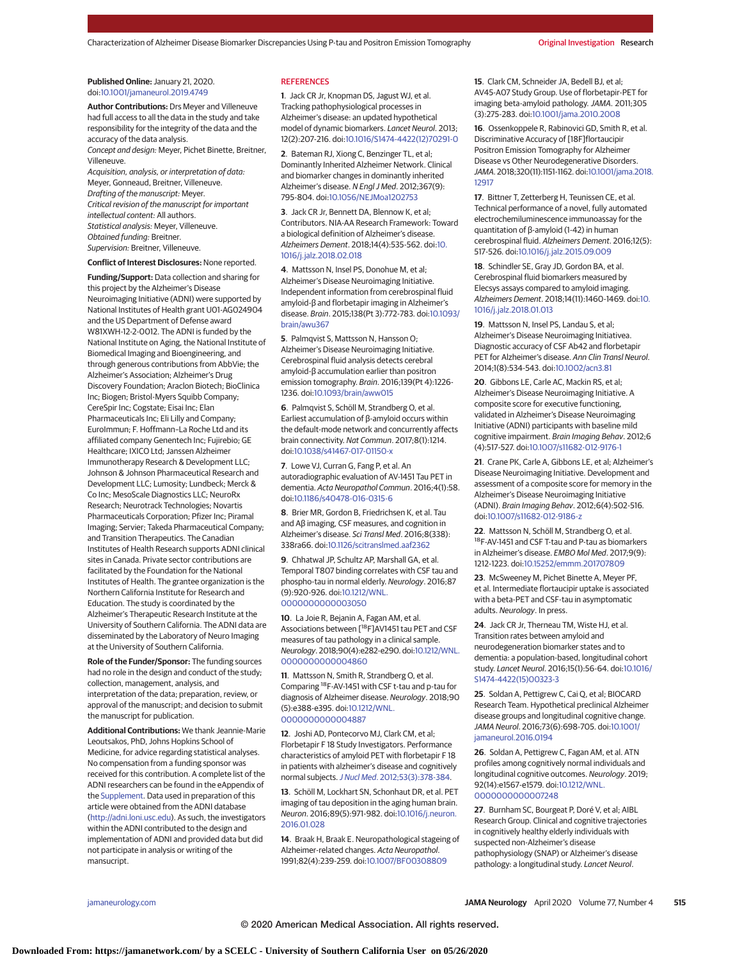#### **Published Online:** January 21, 2020. doi[:10.1001/jamaneurol.2019.4749](https://jamanetwork.com/journals/jama/fullarticle/10.1001/jamaneurol.2019.4749?utm_campaign=articlePDF%26utm_medium=articlePDFlink%26utm_source=articlePDF%26utm_content=jamaneurol.2019.4749)

**Author Contributions:** Drs Meyer and Villeneuve had full access to all the data in the study and take responsibility for the integrity of the data and the accuracy of the data analysis.

Concept and design: Meyer, Pichet Binette, Breitner, Villeneuve.

Acquisition, analysis, or interpretation of data: Meyer, Gonneaud, Breitner, Villeneuve. Drafting of the manuscript: Meyer. Critical revision of the manuscript for important intellectual content: All authors. Statistical analysis: Meyer, Villeneuve. Obtained funding: Breitner. Supervision: Breitner, Villeneuve.

**Conflict of Interest Disclosures:** None reported.

**Funding/Support:** Data collection and sharing for this project by the Alzheimer's Disease Neuroimaging Initiative (ADNI) were supported by National Institutes of Health grant U01-AG024904 and the US Department of Defense award W81XWH-12-2-0012. The ADNI is funded by the National Institute on Aging, the National Institute of Biomedical Imaging and Bioengineering, and through generous contributions from AbbVie; the Alzheimer's Association; Alzheimer's Drug Discovery Foundation; Araclon Biotech; BioClinica Inc; Biogen; Bristol-Myers Squibb Company; CereSpir Inc; Cogstate; Eisai Inc; Elan Pharmaceuticals Inc; Eli Lilly and Company; EuroImmun; F. Hoffmann–La Roche Ltd and its affiliated company Genentech Inc; Fujirebio; GE Healthcare; IXICO Ltd; Janssen Alzheimer Immunotherapy Research & Development LLC; Johnson & Johnson Pharmaceutical Research and Development LLC; Lumosity; Lundbeck; Merck & Co Inc; MesoScale Diagnostics LLC; NeuroRx Research; Neurotrack Technologies; Novartis Pharmaceuticals Corporation; Pfizer Inc; Piramal Imaging; Servier; Takeda Pharmaceutical Company; and Transition Therapeutics. The Canadian Institutes of Health Research supports ADNI clinical sites in Canada. Private sector contributions are facilitated by the Foundation for the National Institutes of Health. The grantee organization is the Northern California Institute for Research and Education. The study is coordinated by the Alzheimer's Therapeutic Research Institute at the University of Southern California. The ADNI data are disseminated by the Laboratory of Neuro Imaging at the University of Southern California.

**Role of the Funder/Sponsor:** The funding sources had no role in the design and conduct of the study; collection, management, analysis, and interpretation of the data; preparation, review, or approval of the manuscript; and decision to submit the manuscript for publication.

**Additional Contributions:** We thank Jeannie-Marie Leoutsakos, PhD, Johns Hopkins School of Medicine, for advice regarding statistical analyses. No compensation from a funding sponsor was received for this contribution. A complete list of the ADNI researchers can be found in the eAppendix of the [Supplement.](https://jamanetwork.com/journals/jama/fullarticle/10.1001/jamaneurol.2019.4749?utm_campaign=articlePDF%26utm_medium=articlePDFlink%26utm_source=articlePDF%26utm_content=jamaneurol.2019.4749) Data used in preparation of this article were obtained from the ADNI database [\(http://adni.loni.usc.edu\)](http://adni.loni.usc.edu). As such, the investigators within the ADNI contributed to the design and implementation of ADNI and provided data but did not participate in analysis or writing of the mansucript.

#### **REFERENCES**

**1**. Jack CR Jr, Knopman DS, Jagust WJ, et al. Tracking pathophysiological processes in Alzheimer's disease: an updated hypothetical model of dynamic biomarkers. Lancet Neurol. 2013; 12(2):207-216. doi[:10.1016/S1474-4422\(12\)70291-0](https://dx.doi.org/10.1016/S1474-4422(12)70291-0)

**2**. Bateman RJ, Xiong C, Benzinger TL, et al; Dominantly Inherited Alzheimer Network. Clinical and biomarker changes in dominantly inherited Alzheimer's disease. N Engl J Med. 2012;367(9): 795-804. doi[:10.1056/NEJMoa1202753](https://dx.doi.org/10.1056/NEJMoa1202753)

**3**. Jack CR Jr, Bennett DA, Blennow K, et al; Contributors. NIA-AA Research Framework: Toward a biological definition of Alzheimer's disease. Alzheimers Dement. 2018;14(4):535-562. doi[:10.](https://dx.doi.org/10.1016/j.jalz.2018.02.018) [1016/j.jalz.2018.02.018](https://dx.doi.org/10.1016/j.jalz.2018.02.018)

**4**. Mattsson N, Insel PS, Donohue M, et al; Alzheimer's Disease Neuroimaging Initiative. Independent information from cerebrospinal fluid amyloid-β and florbetapir imaging in Alzheimer's disease. Brain. 2015;138(Pt 3):772-783. doi[:10.1093/](https://dx.doi.org/10.1093/brain/awu367) [brain/awu367](https://dx.doi.org/10.1093/brain/awu367)

**5**. Palmqvist S, Mattsson N, Hansson O; Alzheimer's Disease Neuroimaging Initiative. Cerebrospinal fluid analysis detects cerebral amyloid-β accumulation earlier than positron emission tomography. Brain. 2016;139(Pt 4):1226- 1236. doi[:10.1093/brain/aww015](https://dx.doi.org/10.1093/brain/aww015)

**6**. Palmqvist S, Schöll M, Strandberg O, et al. Earliest accumulation of β-amyloid occurs within the default-mode network and concurrently affects brain connectivity. Nat Commun. 2017;8(1):1214. doi[:10.1038/s41467-017-01150-x](https://dx.doi.org/10.1038/s41467-017-01150-x)

**7**. Lowe VJ, Curran G, Fang P, et al. An autoradiographic evaluation of AV-1451 Tau PET in dementia. Acta Neuropathol Commun. 2016;4(1):58. doi[:10.1186/s40478-016-0315-6](https://dx.doi.org/10.1186/s40478-016-0315-6)

**8**. Brier MR, Gordon B, Friedrichsen K, et al. Tau and Aβ imaging, CSF measures, and cognition in Alzheimer's disease. Sci Transl Med. 2016;8(338): 338ra66. doi[:10.1126/scitranslmed.aaf2362](https://dx.doi.org/10.1126/scitranslmed.aaf2362)

**9**. Chhatwal JP, Schultz AP, Marshall GA, et al. Temporal T807 binding correlates with CSF tau and phospho-tau in normal elderly. Neurology. 2016;87 (9):920-926. doi[:10.1212/WNL.](https://dx.doi.org/10.1212/WNL.0000000000003050) [0000000000003050](https://dx.doi.org/10.1212/WNL.0000000000003050)

**10**. La Joie R, Bejanin A, Fagan AM, et al. Associations between [18F]AV1451 tau PET and CSF measures of tau pathology in a clinical sample. Neurology. 2018;90(4):e282-e290. doi[:10.1212/WNL.](https://dx.doi.org/10.1212/WNL.0000000000004860) [0000000000004860](https://dx.doi.org/10.1212/WNL.0000000000004860)

**11**. Mattsson N, Smith R, Strandberg O, et al. Comparing 18F-AV-1451 with CSF t-tau and p-tau for diagnosis of Alzheimer disease. Neurology. 2018;90 (5):e388-e395. doi[:10.1212/WNL.](https://dx.doi.org/10.1212/WNL.0000000000004887) [0000000000004887](https://dx.doi.org/10.1212/WNL.0000000000004887)

**12**. Joshi AD, Pontecorvo MJ, Clark CM, et al; Florbetapir F 18 Study Investigators. Performance characteristics of amyloid PET with florbetapir F 18 in patients with alzheimer's disease and cognitively normal subjects.J Nucl Med[. 2012;53\(3\):378-384.](https://www.ncbi.nlm.nih.gov/pubmed/22331215)

**13**. Schöll M, Lockhart SN, Schonhaut DR, et al. PET imaging of tau deposition in the aging human brain. Neuron. 2016;89(5):971-982. doi[:10.1016/j.neuron.](https://dx.doi.org/10.1016/j.neuron.2016.01.028) [2016.01.028](https://dx.doi.org/10.1016/j.neuron.2016.01.028)

**14**. Braak H, Braak E. Neuropathological stageing of Alzheimer-related changes. Acta Neuropathol. 1991;82(4):239-259. doi[:10.1007/BF00308809](https://dx.doi.org/10.1007/BF00308809)

**15**. Clark CM, Schneider JA, Bedell BJ, et al; AV45-A07 Study Group. Use of florbetapir-PET for imaging beta-amyloid pathology. JAMA. 2011;305 (3):275-283. doi[:10.1001/jama.2010.2008](https://jamanetwork.com/journals/jama/fullarticle/10.1001/jama.2010.2008?utm_campaign=articlePDF%26utm_medium=articlePDFlink%26utm_source=articlePDF%26utm_content=jamaneurol.2019.4749)

**16**. Ossenkoppele R, Rabinovici GD, Smith R, et al. Discriminative Accuracy of [18F]flortaucipir Positron Emission Tomography for Alzheimer Disease vs Other Neurodegenerative Disorders. JAMA. 2018;320(11):1151-1162. doi[:10.1001/jama.2018.](https://jamanetwork.com/journals/jama/fullarticle/10.1001/jama.2018.12917?utm_campaign=articlePDF%26utm_medium=articlePDFlink%26utm_source=articlePDF%26utm_content=jamaneurol.2019.4749) [12917](https://jamanetwork.com/journals/jama/fullarticle/10.1001/jama.2018.12917?utm_campaign=articlePDF%26utm_medium=articlePDFlink%26utm_source=articlePDF%26utm_content=jamaneurol.2019.4749)

**17**. Bittner T, Zetterberg H, Teunissen CE, et al. Technical performance of a novel, fully automated electrochemiluminescence immunoassay for the quantitation of β-amyloid (1-42) in human cerebrospinal fluid. Alzheimers Dement. 2016;12(5): 517-526. doi[:10.1016/j.jalz.2015.09.009](https://dx.doi.org/10.1016/j.jalz.2015.09.009)

**18**. Schindler SE, Gray JD, Gordon BA, et al. Cerebrospinal fluid biomarkers measured by Elecsys assays compared to amyloid imaging. Alzheimers Dement. 2018;14(11):1460-1469. doi[:10.](https://dx.doi.org/10.1016/j.jalz.2018.01.013) [1016/j.jalz.2018.01.013](https://dx.doi.org/10.1016/j.jalz.2018.01.013)

**19**. Mattsson N, Insel PS, Landau S, et al; Alzheimer's Disease Neuroimaging Initiativea. Diagnostic accuracy of CSF Ab42 and florbetapir PET for Alzheimer's disease. Ann Clin Transl Neurol. 2014;1(8):534-543. doi[:10.1002/acn3.81](https://dx.doi.org/10.1002/acn3.81)

**20**. Gibbons LE, Carle AC, Mackin RS, et al; Alzheimer's Disease Neuroimaging Initiative. A composite score for executive functioning, validated in Alzheimer's Disease Neuroimaging Initiative (ADNI) participants with baseline mild cognitive impairment. Brain Imaging Behav. 2012;6 (4):517-527. doi[:10.1007/s11682-012-9176-1](https://dx.doi.org/10.1007/s11682-012-9176-1)

**21**. Crane PK, Carle A, Gibbons LE, et al; Alzheimer's Disease Neuroimaging Initiative. Development and assessment of a composite score for memory in the Alzheimer's Disease Neuroimaging Initiative (ADNI). Brain Imaging Behav. 2012;6(4):502-516. doi[:10.1007/s11682-012-9186-z](https://dx.doi.org/10.1007/s11682-012-9186-z)

**22**. Mattsson N, Schöll M, Strandberg O, et al. 18F-AV-1451 and CSF T-tau and P-tau as biomarkers in Alzheimer's disease. EMBO Mol Med. 2017;9(9): 1212-1223. doi[:10.15252/emmm.201707809](https://dx.doi.org/10.15252/emmm.201707809)

**23**. McSweeney M, Pichet Binette A, Meyer PF, et al. Intermediate flortaucipir uptake is associated with a beta-PET and CSF-tau in asymptomatic adults. Neurology. In press.

**24**. Jack CR Jr, Therneau TM, Wiste HJ, et al. Transition rates between amyloid and neurodegeneration biomarker states and to dementia: a population-based, longitudinal cohort study. Lancet Neurol. 2016;15(1):56-64. doi[:10.1016/](https://dx.doi.org/10.1016/S1474-4422(15)00323-3) [S1474-4422\(15\)00323-3](https://dx.doi.org/10.1016/S1474-4422(15)00323-3)

**25**. Soldan A, Pettigrew C, Cai Q, et al; BIOCARD Research Team. Hypothetical preclinical Alzheimer disease groups and longitudinal cognitive change. JAMA Neurol. 2016;73(6):698-705. doi[:10.1001/](https://jamanetwork.com/journals/jama/fullarticle/10.1001/jamaneurol.2016.0194?utm_campaign=articlePDF%26utm_medium=articlePDFlink%26utm_source=articlePDF%26utm_content=jamaneurol.2019.4749) [jamaneurol.2016.0194](https://jamanetwork.com/journals/jama/fullarticle/10.1001/jamaneurol.2016.0194?utm_campaign=articlePDF%26utm_medium=articlePDFlink%26utm_source=articlePDF%26utm_content=jamaneurol.2019.4749)

**26**. Soldan A, Pettigrew C, Fagan AM, et al. ATN profiles among cognitively normal individuals and longitudinal cognitive outcomes. Neurology. 2019; 92(14):e1567-e1579. doi[:10.1212/WNL.](https://dx.doi.org/10.1212/WNL.0000000000007248) [0000000000007248](https://dx.doi.org/10.1212/WNL.0000000000007248)

**27**. Burnham SC, Bourgeat P, Doré V, et al; AIBL Research Group. Clinical and cognitive trajectories in cognitively healthy elderly individuals with suspected non-Alzheimer's disease pathophysiology (SNAP) or Alzheimer's disease pathology: a longitudinal study. Lancet Neurol.